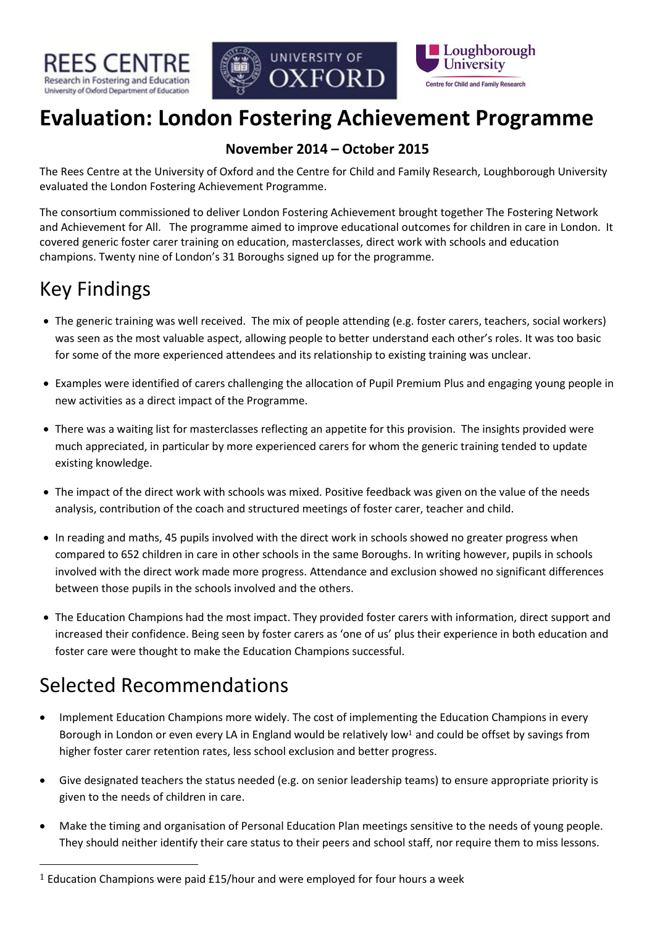





# **Evaluation: London Fostering Achievement Programme**

### **November 2014 – October 2015**

The Rees Centre at the University of Oxford and the Centre for Child and Family Research, Loughborough University evaluated the London Fostering Achievement Programme.

The consortium commissioned to deliver London Fostering Achievement brought together The Fostering Network and Achievement for All. The programme aimed to improve educational outcomes for children in care in London. It covered generic foster carer training on education, masterclasses, direct work with schools and education champions. Twenty nine of London's 31 Boroughs signed up for the programme.

# Key Findings

- The generic training was well received. The mix of people attending (e.g. foster carers, teachers, social workers) was seen as the most valuable aspect, allowing people to better understand each other's roles. It was too basic for some of the more experienced attendees and its relationship to existing training was unclear.
- Examples were identified of carers challenging the allocation of Pupil Premium Plus and engaging young people in new activities as a direct impact of the Programme.
- There was a waiting list for masterclasses reflecting an appetite for this provision. The insights provided were much appreciated, in particular by more experienced carers for whom the generic training tended to update existing knowledge.
- The impact of the direct work with schools was mixed. Positive feedback was given on the value of the needs analysis, contribution of the coach and structured meetings of foster carer, teacher and child.
- In reading and maths, 45 pupils involved with the direct work in schools showed no greater progress when compared to 652 children in care in other schools in the same Boroughs. In writing however, pupils in schools involved with the direct work made more progress. Attendance and exclusion showed no significant differences between those pupils in the schools involved and the others.
- The Education Champions had the most impact. They provided foster carers with information, direct support and increased their confidence. Being seen by foster carers as 'one of us' plus their experience in both education and foster care were thought to make the Education Champions successful.

# Selected Recommendations

1

- Implement Education Champions more widely. The cost of implementing the Education Champions in every Borough in London or even every LA in England would be relatively low<sup>1</sup> and could be offset by savings from higher foster carer retention rates, less school exclusion and better progress.
- Give designated teachers the status needed (e.g. on senior leadership teams) to ensure appropriate priority is given to the needs of children in care.
- Make the timing and organisation of Personal Education Plan meetings sensitive to the needs of young people. They should neither identify their care status to their peers and school staff, nor require them to miss lessons.

<sup>&</sup>lt;sup>1</sup> Education Champions were paid £15/hour and were employed for four hours a week